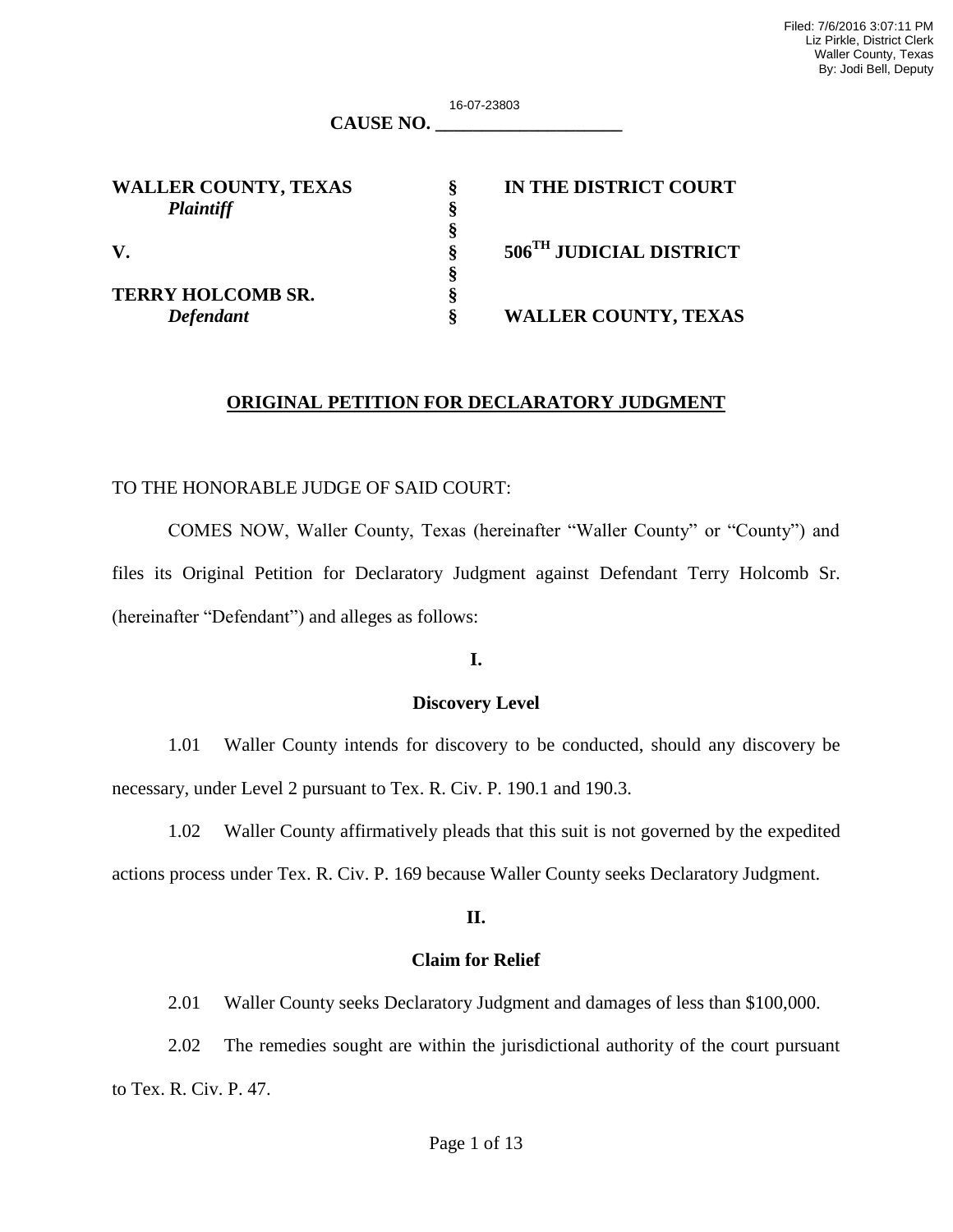16-07-23803

| <b>CAUSE NO.</b> |  |
|------------------|--|
|------------------|--|

**§**

| <b>WALLER COUNTY, TEXAS</b> |  |
|-----------------------------|--|
| <b>Plaintiff</b>            |  |

 **§**

**TERRY HOLCOMB SR. §**

**WALLER COUNTY, TEXAS § IN THE DISTRICT COURT V. § 506TH JUDICIAL DISTRICT** 

*Defendant* **§ WALLER COUNTY, TEXAS** 

## **ORIGINAL PETITION FOR DECLARATORY JUDGMENT**

#### TO THE HONORABLE JUDGE OF SAID COURT:

COMES NOW, Waller County, Texas (hereinafter "Waller County" or "County") and files its Original Petition for Declaratory Judgment against Defendant Terry Holcomb Sr. (hereinafter "Defendant") and alleges as follows:

#### **I.**

#### **Discovery Level**

 1.01 Waller County intends for discovery to be conducted, should any discovery be necessary, under Level 2 pursuant to Tex. R. Civ. P. 190.1 and 190.3.

 1.02 Waller County affirmatively pleads that this suit is not governed by the expedited actions process under Tex. R. Civ. P. 169 because Waller County seeks Declaratory Judgment.

#### **II.**

#### **Claim for Relief**

2.01 Waller County seeks Declaratory Judgment and damages of less than \$100,000.

 2.02 The remedies sought are within the jurisdictional authority of the court pursuant to Tex. R. Civ. P. 47.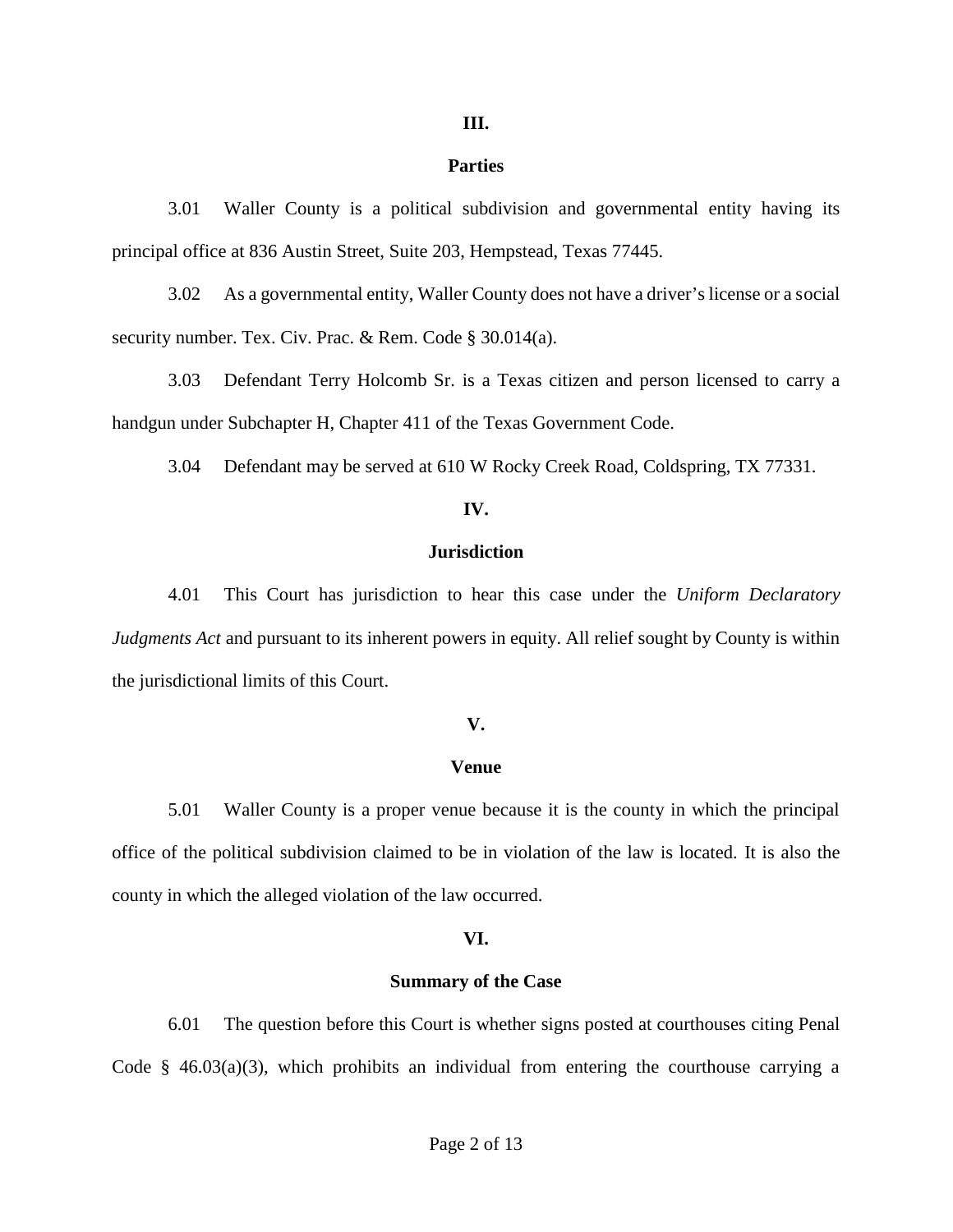#### **III.**

#### **Parties**

3.01 Waller County is a political subdivision and governmental entity having its principal office at 836 Austin Street, Suite 203, Hempstead, Texas 77445.

3.02 As a governmental entity, Waller County does not have a driver's license or a social security number. Tex. Civ. Prac. & Rem. Code § 30.014(a).

3.03 Defendant Terry Holcomb Sr. is a Texas citizen and person licensed to carry a handgun under Subchapter H, Chapter 411 of the Texas Government Code.

3.04 Defendant may be served at 610 W Rocky Creek Road, Coldspring, TX 77331.

#### **IV.**

#### **Jurisdiction**

4.01 This Court has jurisdiction to hear this case under the *Uniform Declaratory Judgments Act* and pursuant to its inherent powers in equity. All relief sought by County is within the jurisdictional limits of this Court.

#### **V.**

#### **Venue**

5.01 Waller County is a proper venue because it is the county in which the principal office of the political subdivision claimed to be in violation of the law is located. It is also the county in which the alleged violation of the law occurred.

#### **VI.**

#### **Summary of the Case**

6.01 The question before this Court is whether signs posted at courthouses citing Penal Code §  $46.03(a)(3)$ , which prohibits an individual from entering the courthouse carrying a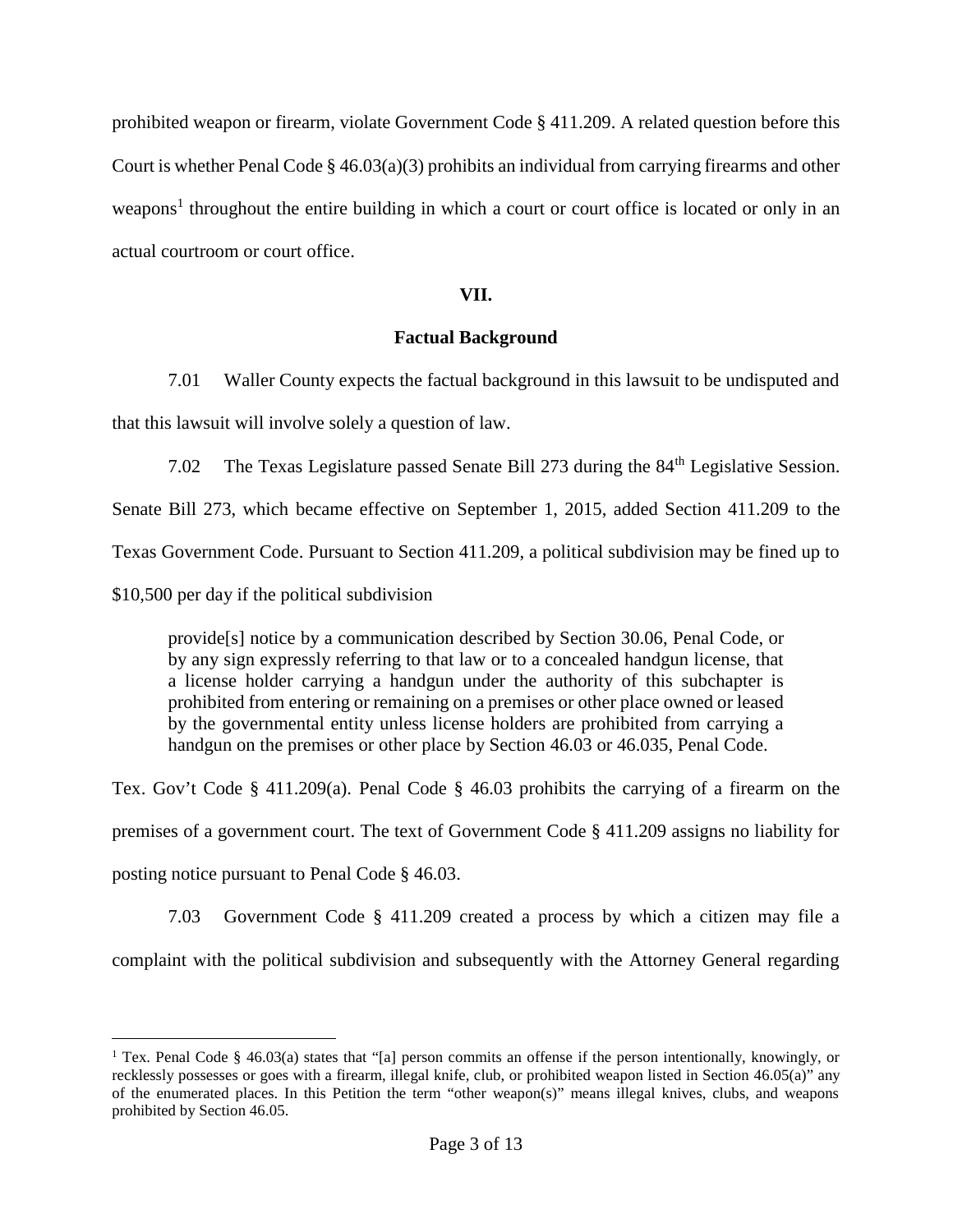prohibited weapon or firearm, violate Government Code § 411.209. A related question before this Court is whether Penal Code  $\S$  46.03(a)(3) prohibits an individual from carrying firearms and other weapons<sup>1</sup> throughout the entire building in which a court or court office is located or only in an actual courtroom or court office.

## **VII.**

## **Factual Background**

7.01 Waller County expects the factual background in this lawsuit to be undisputed and that this lawsuit will involve solely a question of law.

7.02 The Texas Legislature passed Senate Bill 273 during the  $84<sup>th</sup>$  Legislative Session.

Senate Bill 273, which became effective on September 1, 2015, added Section 411.209 to the

Texas Government Code. Pursuant to Section 411.209, a political subdivision may be fined up to

\$10,500 per day if the political subdivision

provide[s] notice by a communication described by Section 30.06, Penal Code, or by any sign expressly referring to that law or to a concealed handgun license, that a license holder carrying a handgun under the authority of this subchapter is prohibited from entering or remaining on a premises or other place owned or leased by the governmental entity unless license holders are prohibited from carrying a handgun on the premises or other place by Section 46.03 or 46.035, Penal Code.

Tex. Gov't Code § 411.209(a). Penal Code § 46.03 prohibits the carrying of a firearm on the premises of a government court. The text of Government Code § 411.209 assigns no liability for

posting notice pursuant to Penal Code § 46.03.

7.03 Government Code § 411.209 created a process by which a citizen may file a complaint with the political subdivision and subsequently with the Attorney General regarding

<sup>&</sup>lt;sup>1</sup> Tex. Penal Code § 46.03(a) states that "[a] person commits an offense if the person intentionally, knowingly, or recklessly possesses or goes with a firearm, illegal knife, club, or prohibited weapon listed in Section 46.05(a)" any of the enumerated places. In this Petition the term "other weapon(s)" means illegal knives, clubs, and weapons prohibited by Section 46.05.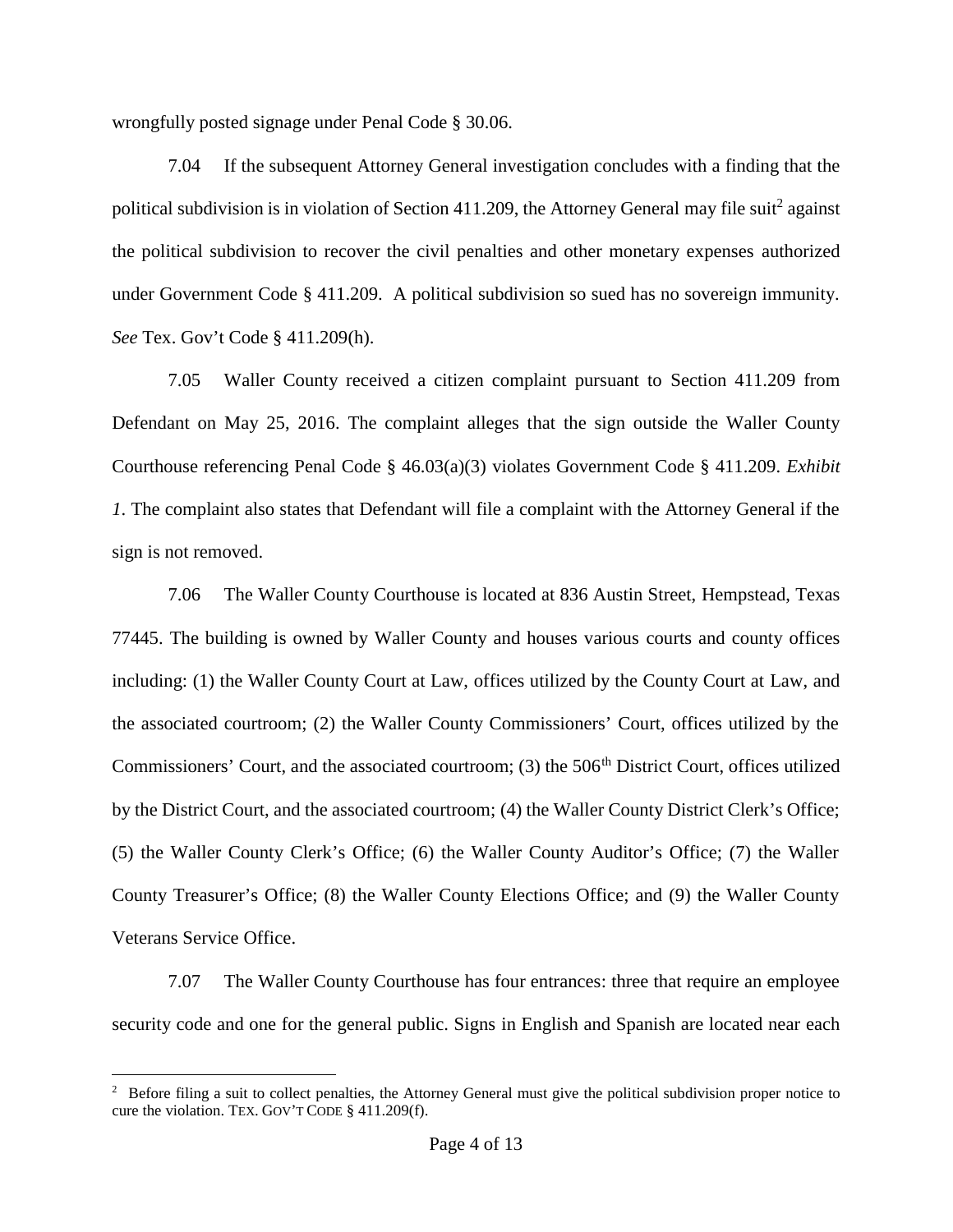wrongfully posted signage under Penal Code § 30.06.

7.04 If the subsequent Attorney General investigation concludes with a finding that the political subdivision is in violation of Section 411.209, the Attorney General may file suit<sup>2</sup> against the political subdivision to recover the civil penalties and other monetary expenses authorized under Government Code § 411.209. A political subdivision so sued has no sovereign immunity. *See* Tex. Gov't Code § 411.209(h).

7.05 Waller County received a citizen complaint pursuant to Section 411.209 from Defendant on May 25, 2016. The complaint alleges that the sign outside the Waller County Courthouse referencing Penal Code § 46.03(a)(3) violates Government Code § 411.209. *Exhibit 1*. The complaint also states that Defendant will file a complaint with the Attorney General if the sign is not removed.

7.06 The Waller County Courthouse is located at 836 Austin Street, Hempstead, Texas 77445. The building is owned by Waller County and houses various courts and county offices including: (1) the Waller County Court at Law, offices utilized by the County Court at Law, and the associated courtroom; (2) the Waller County Commissioners' Court, offices utilized by the Commissioners' Court, and the associated courtroom; (3) the 506<sup>th</sup> District Court, offices utilized by the District Court, and the associated courtroom; (4) the Waller County District Clerk's Office; (5) the Waller County Clerk's Office; (6) the Waller County Auditor's Office; (7) the Waller County Treasurer's Office; (8) the Waller County Elections Office; and (9) the Waller County Veterans Service Office.

7.07 The Waller County Courthouse has four entrances: three that require an employee security code and one for the general public. Signs in English and Spanish are located near each

 $2\degree$  Before filing a suit to collect penalties, the Attorney General must give the political subdivision proper notice to cure the violation. TEX. GOV'T CODE § 411.209(f).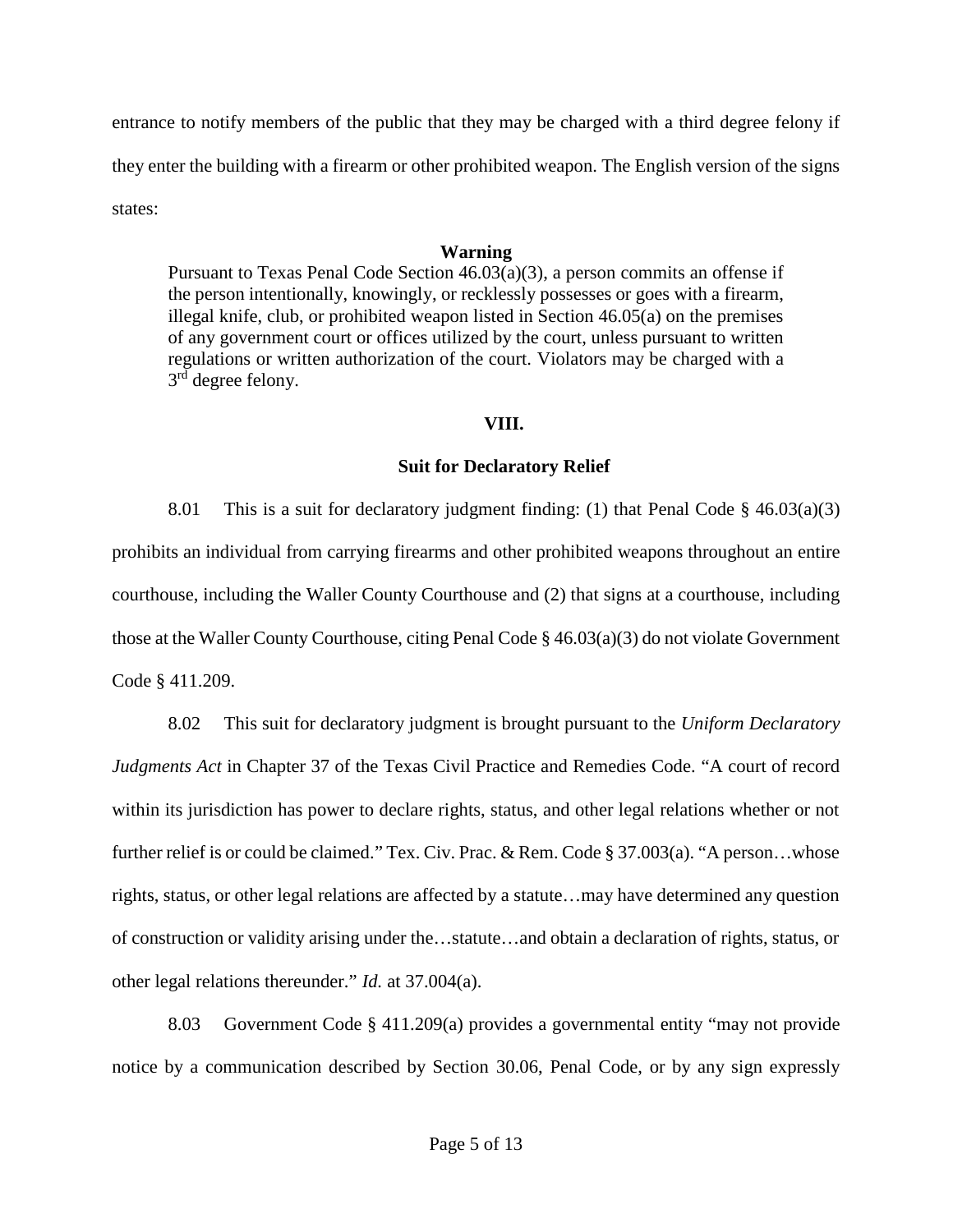entrance to notify members of the public that they may be charged with a third degree felony if they enter the building with a firearm or other prohibited weapon. The English version of the signs states:

## **Warning**

Pursuant to Texas Penal Code Section 46.03(a)(3), a person commits an offense if the person intentionally, knowingly, or recklessly possesses or goes with a firearm, illegal knife, club, or prohibited weapon listed in Section 46.05(a) on the premises of any government court or offices utilized by the court, unless pursuant to written regulations or written authorization of the court. Violators may be charged with a 3 rd degree felony.

## **VIII.**

## **Suit for Declaratory Relief**

8.01 This is a suit for declaratory judgment finding: (1) that Penal Code § 46.03(a)(3) prohibits an individual from carrying firearms and other prohibited weapons throughout an entire courthouse, including the Waller County Courthouse and (2) that signs at a courthouse, including those at the Waller County Courthouse, citing Penal Code § 46.03(a)(3) do not violate Government Code § 411.209.

8.02 This suit for declaratory judgment is brought pursuant to the *Uniform Declaratory Judgments Act* in Chapter 37 of the Texas Civil Practice and Remedies Code. "A court of record within its jurisdiction has power to declare rights, status, and other legal relations whether or not further relief is or could be claimed." Tex. Civ. Prac. & Rem. Code § 37.003(a). "A person...whose rights, status, or other legal relations are affected by a statute…may have determined any question of construction or validity arising under the…statute…and obtain a declaration of rights, status, or other legal relations thereunder." *Id.*at 37.004(a).

8.03 Government Code § 411.209(a) provides a governmental entity "may not provide notice by a communication described by Section 30.06, Penal Code, or by any sign expressly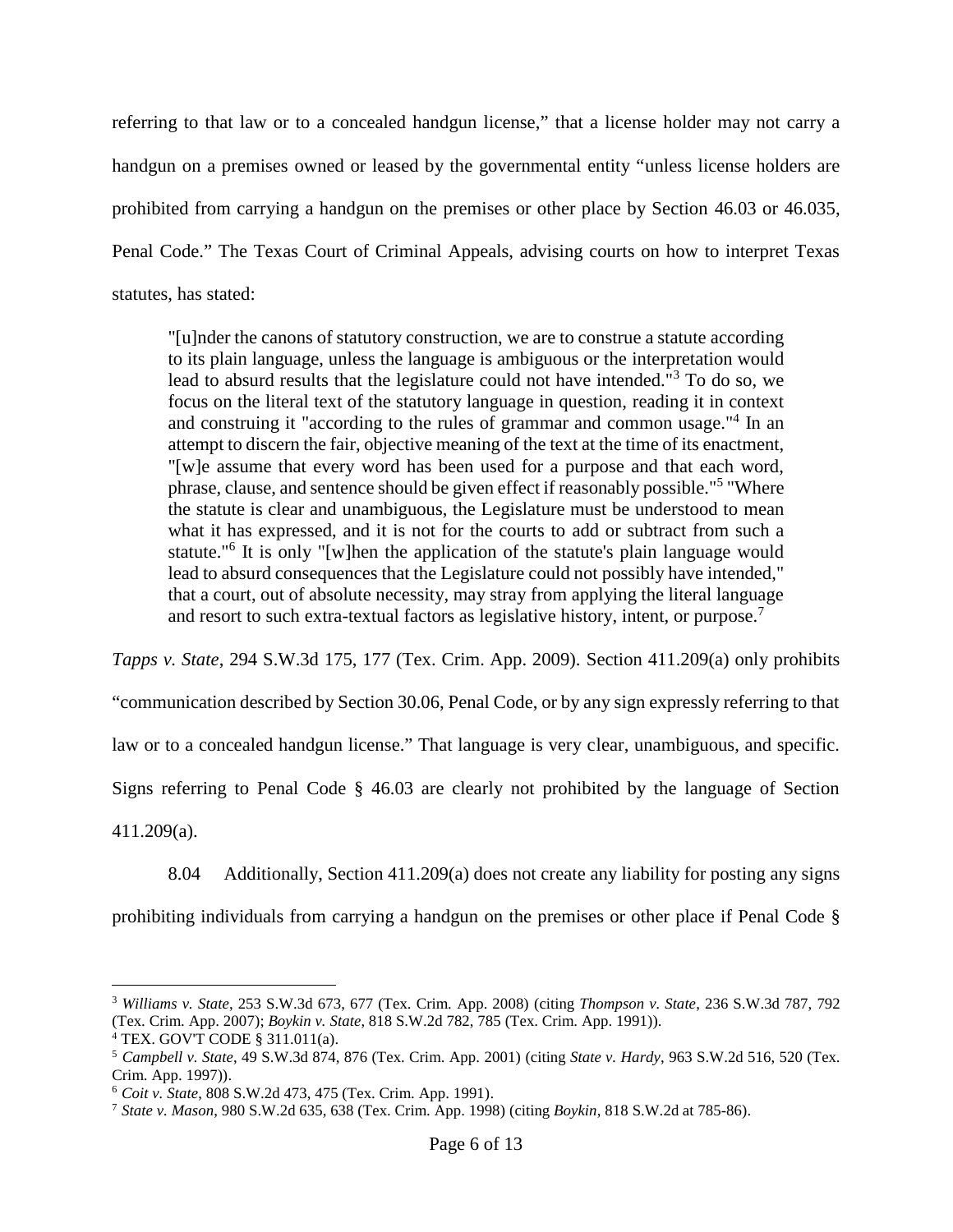referring to that law or to a concealed handgun license," that a license holder may not carry a handgun on a premises owned or leased by the governmental entity "unless license holders are prohibited from carrying a handgun on the premises or other place by Section 46.03 or 46.035, Penal Code." The Texas Court of Criminal Appeals, advising courts on how to interpret Texas statutes, has stated:

"[u]nder the canons of statutory construction, we are to construe a statute according to its plain language, unless the language is ambiguous or the interpretation would lead to absurd results that the legislature could not have intended."<sup>3</sup> To do so, we focus on the literal text of the statutory language in question, reading it in context and construing it "according to the rules of grammar and common usage."<sup>4</sup> In an attempt to discern the fair, objective meaning of the text at the time of its enactment, "[w]e assume that every word has been used for a purpose and that each word, phrase, clause, and sentence should be given effect if reasonably possible."<sup>5</sup> "Where the statute is clear and unambiguous, the Legislature must be understood to mean what it has expressed, and it is not for the courts to add or subtract from such a statute."<sup>6</sup> It is only "[w]hen the application of the statute's plain language would lead to absurd consequences that the Legislature could not possibly have intended," that a court, out of absolute necessity, may stray from applying the literal language and resort to such extra-textual factors as legislative history, intent, or purpose.<sup>7</sup>

*Tapps v. State*, 294 S.W.3d 175, 177 (Tex. Crim. App. 2009). Section 411.209(a) only prohibits

"communication described by Section 30.06, Penal Code, or by any sign expressly referring to that

law or to a concealed handgun license." That language is very clear, unambiguous, and specific.

Signs referring to Penal Code § 46.03 are clearly not prohibited by the language of Section

411.209(a).

8.04 Additionally, Section 411.209(a) does not create any liability for posting any signs

prohibiting individuals from carrying a handgun on the premises or other place if Penal Code §

<sup>3</sup> *Williams v. State*, 253 S.W.3d 673, 677 (Tex. Crim. App. 2008) (citing *Thompson v. State*, 236 S.W.3d 787, 792 (Tex. Crim. App. 2007); *Boykin v. State*, 818 S.W.2d 782, 785 (Tex. Crim. App. 1991)).

<sup>4</sup> TEX. GOV'T CODE § 311.011(a).

<sup>5</sup> *Campbell v. State*, 49 S.W.3d 874, 876 (Tex. Crim. App. 2001) (citing *State v. Hardy*, 963 S.W.2d 516, 520 (Tex. Crim. App. 1997)).

<sup>6</sup> *Coit v. State*, 808 S.W.2d 473, 475 (Tex. Crim. App. 1991).

<sup>7</sup> *State v. Mason*, 980 S.W.2d 635, 638 (Tex. Crim. App. 1998) (citing *Boykin*, 818 S.W.2d at 785-86).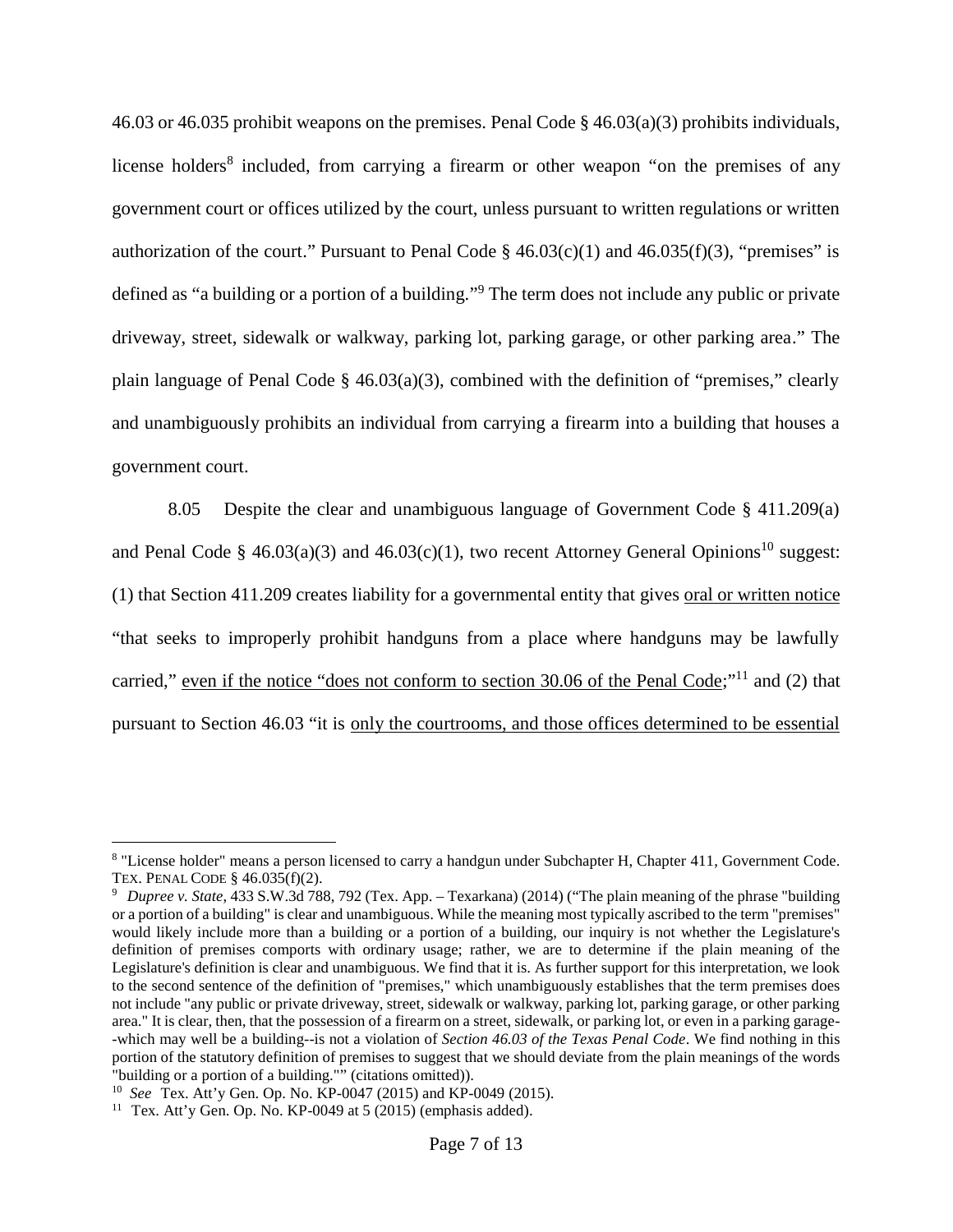46.03 or 46.035 prohibit weapons on the premises. Penal Code § 46.03(a)(3) prohibits individuals, license holders<sup>8</sup> included, from carrying a firearm or other weapon "on the premises of any government court or offices utilized by the court, unless pursuant to written regulations or written authorization of the court." Pursuant to Penal Code §  $46.03(c)(1)$  and  $46.035(f)(3)$ , "premises" is defined as "a building or a portion of a building." <sup>9</sup> The term does not include any public or private driveway, street, sidewalk or walkway, parking lot, parking garage, or other parking area." The plain language of Penal Code § 46.03(a)(3), combined with the definition of "premises," clearly and unambiguously prohibits an individual from carrying a firearm into a building that houses a government court.

8.05 Despite the clear and unambiguous language of Government Code § 411.209(a) and Penal Code § 46.03(a)(3) and 46.03(c)(1), two recent Attorney General Opinions<sup>10</sup> suggest: (1) that Section 411.209 creates liability for a governmental entity that gives oral or written notice "that seeks to improperly prohibit handguns from a place where handguns may be lawfully carried," even if the notice "does not conform to section 30.06 of the Penal Code;"<sup>11</sup> and (2) that pursuant to Section 46.03 "it is only the courtrooms, and those offices determined to be essential

<sup>&</sup>lt;sup>8</sup> "License holder" means a person licensed to carry a handgun under Subchapter H, Chapter 411, Government Code. TEX. PENAL CODE § 46.035(f)(2).

<sup>9</sup> *Dupree v. State*, 433 S.W.3d 788, 792 (Tex. App. – Texarkana) (2014) ("The plain meaning of the phrase "building or a portion of a building" is clear and unambiguous. While the meaning most typically ascribed to the term "premises" would likely include more than a building or a portion of a building, our inquiry is not whether the Legislature's definition of premises comports with ordinary usage; rather, we are to determine if the plain meaning of the Legislature's definition is clear and unambiguous. We find that it is. As further support for this interpretation, we look to the second sentence of the definition of "premises," which unambiguously establishes that the term premises does not include "any public or private driveway, street, sidewalk or walkway, parking lot, parking garage, or other parking area." It is clear, then, that the possession of a firearm on a street, sidewalk, or parking lot, or even in a parking garage- -which may well be a building--is not a violation of *Section 46.03 of the Texas Penal Code*. We find nothing in this portion of the statutory definition of premises to suggest that we should deviate from the plain meanings of the words "building or a portion of a building."" (citations omitted)).

<sup>10</sup> *See* Tex. Att'y Gen. Op. No. KP-0047 (2015) and KP-0049 (2015).

<sup>&</sup>lt;sup>11</sup> Tex. Att'y Gen. Op. No. KP-0049 at  $5(2015)$  (emphasis added).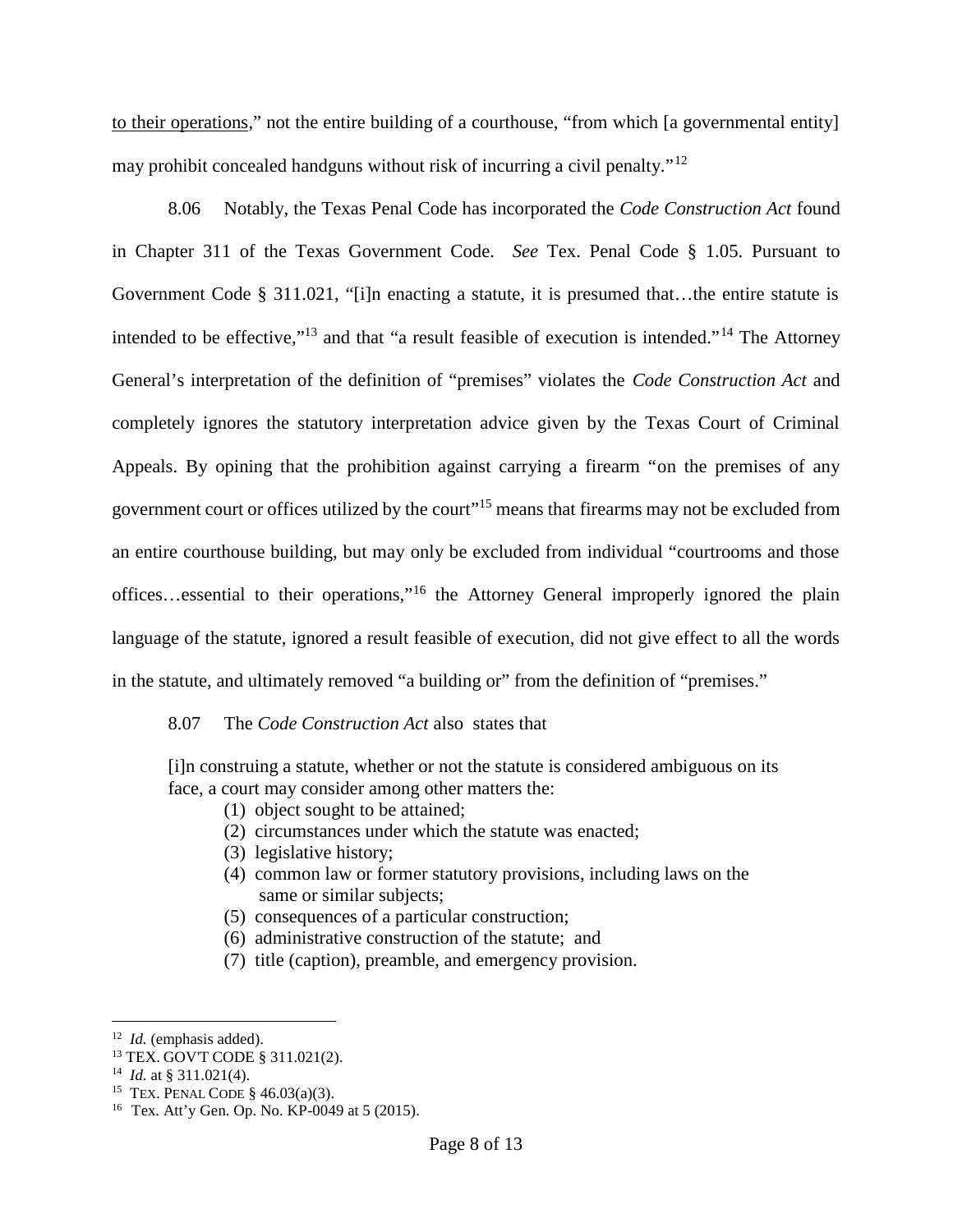to their operations," not the entire building of a courthouse, "from which [a governmental entity] may prohibit concealed handguns without risk of incurring a civil penalty."<sup>12</sup>

8.06 Notably, the Texas Penal Code has incorporated the *Code Construction Act* found in Chapter 311 of the Texas Government Code. *See* Tex. Penal Code § 1.05. Pursuant to Government Code § 311.021, "[i]n enacting a statute, it is presumed that…the entire statute is intended to be effective,"<sup>13</sup> and that "a result feasible of execution is intended."<sup>14</sup> The Attorney General's interpretation of the definition of "premises" violates the *Code Construction Act* and completely ignores the statutory interpretation advice given by the Texas Court of Criminal Appeals. By opining that the prohibition against carrying a firearm "on the premises of any government court or offices utilized by the court"<sup>15</sup> means that firearms may not be excluded from an entire courthouse building, but may only be excluded from individual "courtrooms and those offices…essential to their operations,"<sup>16</sup> the Attorney General improperly ignored the plain language of the statute, ignored a result feasible of execution, did not give effect to all the words in the statute, and ultimately removed "a building or" from the definition of "premises."

#### 8.07 The *Code Construction Act* also states that

[i]n construing a statute, whether or not the statute is considered ambiguous on its face, a court may consider among other matters the:

- (1) object sought to be attained;
- (2) circumstances under which the statute was enacted;
- (3) legislative history;
- (4) common law or former statutory provisions, including laws on the same or similar subjects;
- (5) consequences of a particular construction;
- (6) administrative construction of the statute; and
- (7) title (caption), preamble, and emergency provision.

<sup>12</sup> *Id.* (emphasis added).

<sup>13</sup> TEX. GOV'T CODE § 311.021(2).

<sup>&</sup>lt;sup>14</sup> *Id.* at § 311.021(4).

<sup>&</sup>lt;sup>15</sup> TEX. PENAL CODE  $\frac{1}{5}$  46.03(a)(3).

<sup>16</sup> Tex. Att'y Gen. Op. No. KP-0049 at 5 (2015).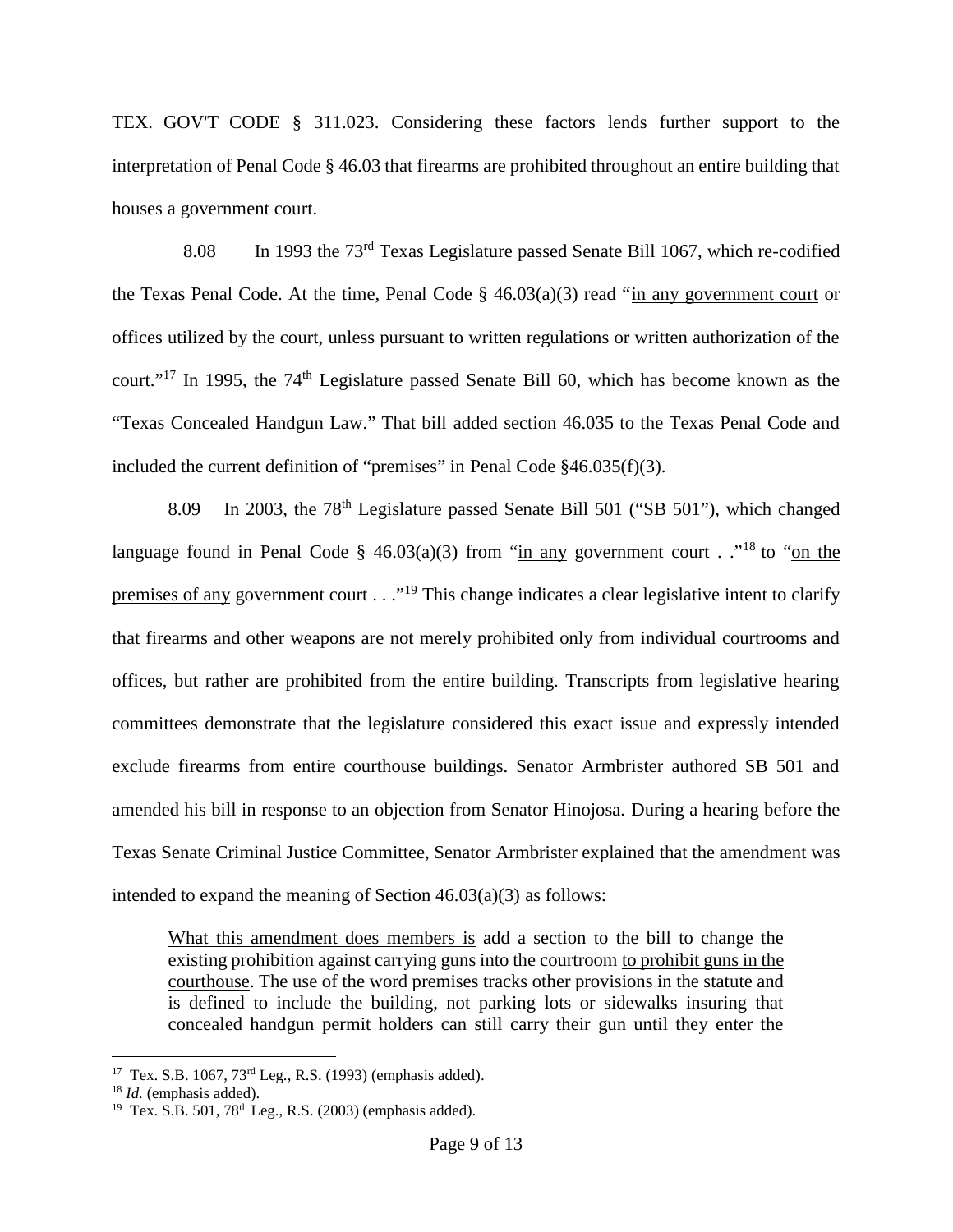TEX. GOV'T CODE § 311.023. Considering these factors lends further support to the interpretation of Penal Code § 46.03 that firearms are prohibited throughout an entire building that houses a government court.

8.08 In 1993 the 73rd Texas Legislature passed Senate Bill 1067, which re-codified the Texas Penal Code. At the time, Penal Code  $\S$  46.03(a)(3) read "in any government court or offices utilized by the court, unless pursuant to written regulations or written authorization of the court."<sup>17</sup> In 1995, the 74<sup>th</sup> Legislature passed Senate Bill 60, which has become known as the "Texas Concealed Handgun Law." That bill added section 46.035 to the Texas Penal Code and included the current definition of "premises" in Penal Code §46.035(f)(3).

8.09 In 2003, the 78<sup>th</sup> Legislature passed Senate Bill 501 ("SB 501"), which changed language found in Penal Code § 46.03(a)(3) from "in any government court . ."<sup>18</sup> to "on the premises of any government court . . ."<sup>19</sup> This change indicates a clear legislative intent to clarify that firearms and other weapons are not merely prohibited only from individual courtrooms and offices, but rather are prohibited from the entire building. Transcripts from legislative hearing committees demonstrate that the legislature considered this exact issue and expressly intended exclude firearms from entire courthouse buildings. Senator Armbrister authored SB 501 and amended his bill in response to an objection from Senator Hinojosa. During a hearing before the Texas Senate Criminal Justice Committee, Senator Armbrister explained that the amendment was intended to expand the meaning of Section 46.03(a)(3) as follows:

What this amendment does members is add a section to the bill to change the existing prohibition against carrying guns into the courtroom to prohibit guns in the courthouse. The use of the word premises tracks other provisions in the statute and is defined to include the building, not parking lots or sidewalks insuring that concealed handgun permit holders can still carry their gun until they enter the

<sup>17</sup> Tex. S.B. 1067, 73rd Leg., R.S. (1993) (emphasis added).

<sup>18</sup> *Id.* (emphasis added).

<sup>&</sup>lt;sup>19</sup> Tex. S.B. 501, 78<sup>th</sup> Leg., R.S. (2003) (emphasis added).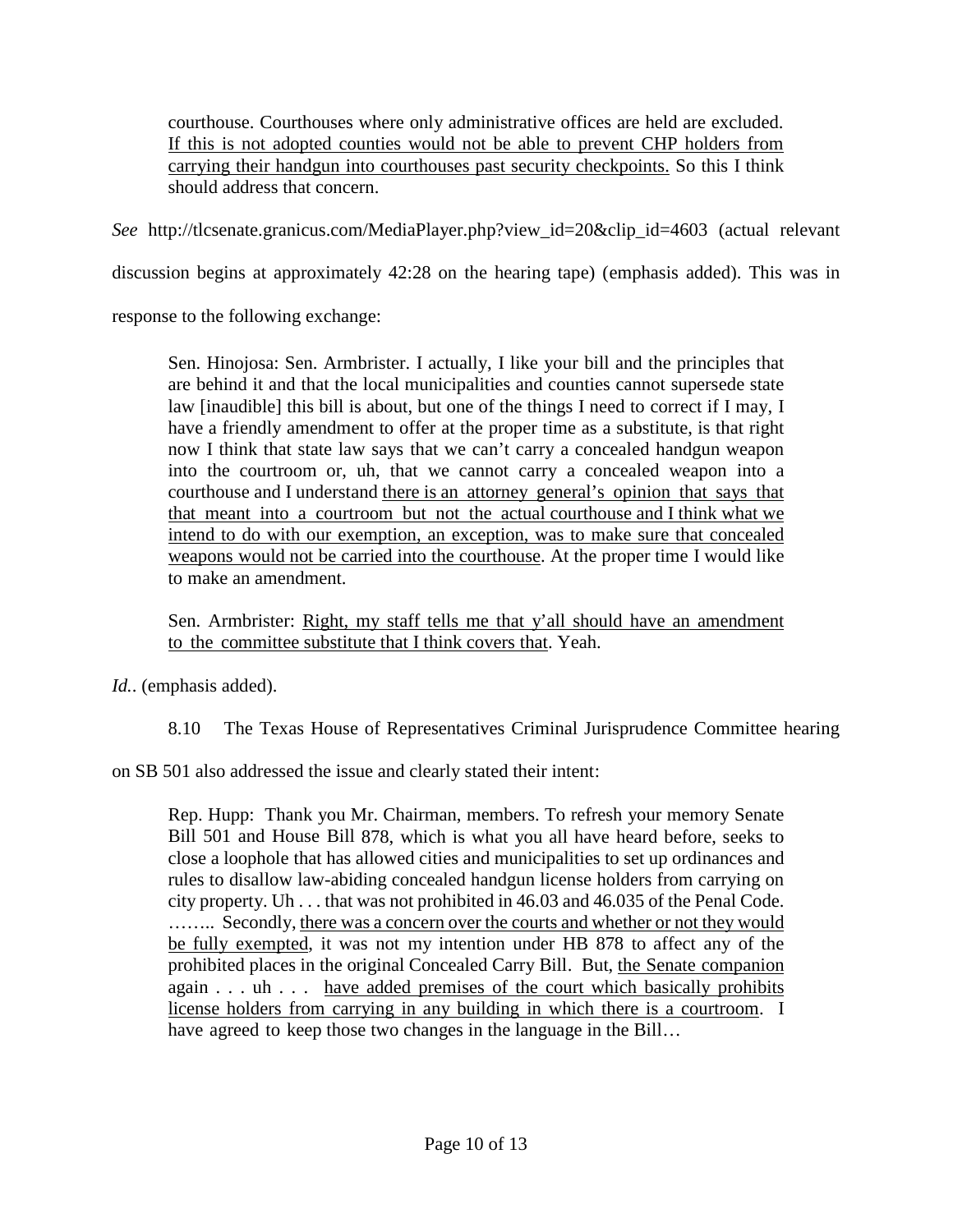courthouse. Courthouses where only administrative offices are held are excluded. If this is not adopted counties would not be able to prevent CHP holders from carrying their handgun into courthouses past security checkpoints. So this I think should address that concern.

*See* http://tlcsenate.granicus.com/MediaPlayer.php?view\_id=20&clip\_id=4603 (actual relevant

discussion begins at approximately 42:28 on the hearing tape) (emphasis added). This was in

response to the following exchange:

Sen. Hinojosa: Sen. Armbrister. I actually, I like your bill and the principles that are behind it and that the local municipalities and counties cannot supersede state law [inaudible] this bill is about, but one of the things I need to correct if I may, I have a friendly amendment to offer at the proper time as a substitute, is that right now I think that state law says that we can't carry a concealed handgun weapon into the courtroom or, uh, that we cannot carry a concealed weapon into a courthouse and I understand there is an attorney general's opinion that says that that meant into a courtroom but not the actual courthouse and I think what we intend to do with our exemption, an exception, was to make sure that concealed weapons would not be carried into the courthouse. At the proper time I would like to make an amendment.

Sen. Armbrister: Right, my staff tells me that y'all should have an amendment to the committee substitute that I think covers that. Yeah.

*Id.*. (emphasis added).

8.10 The Texas House of Representatives Criminal Jurisprudence Committee hearing

on SB 501 also addressed the issue and clearly stated their intent:

Rep. Hupp: Thank you Mr. Chairman, members. To refresh your memory Senate Bill 501 and House Bill 878, which is what you all have heard before, seeks to close a loophole that has allowed cities and municipalities to set up ordinances and rules to disallow law-abiding concealed handgun license holders from carrying on city property. Uh . . . that was not prohibited in 46.03 and 46.035 of the Penal Code. …….. Secondly, there was a concern over the courts and whether or not they would be fully exempted, it was not my intention under HB 878 to affect any of the prohibited places in the original Concealed Carry Bill. But, the Senate companion again . . . uh . . . have added premises of the court which basically prohibits license holders from carrying in any building in which there is a courtroom. I have agreed to keep those two changes in the language in the Bill...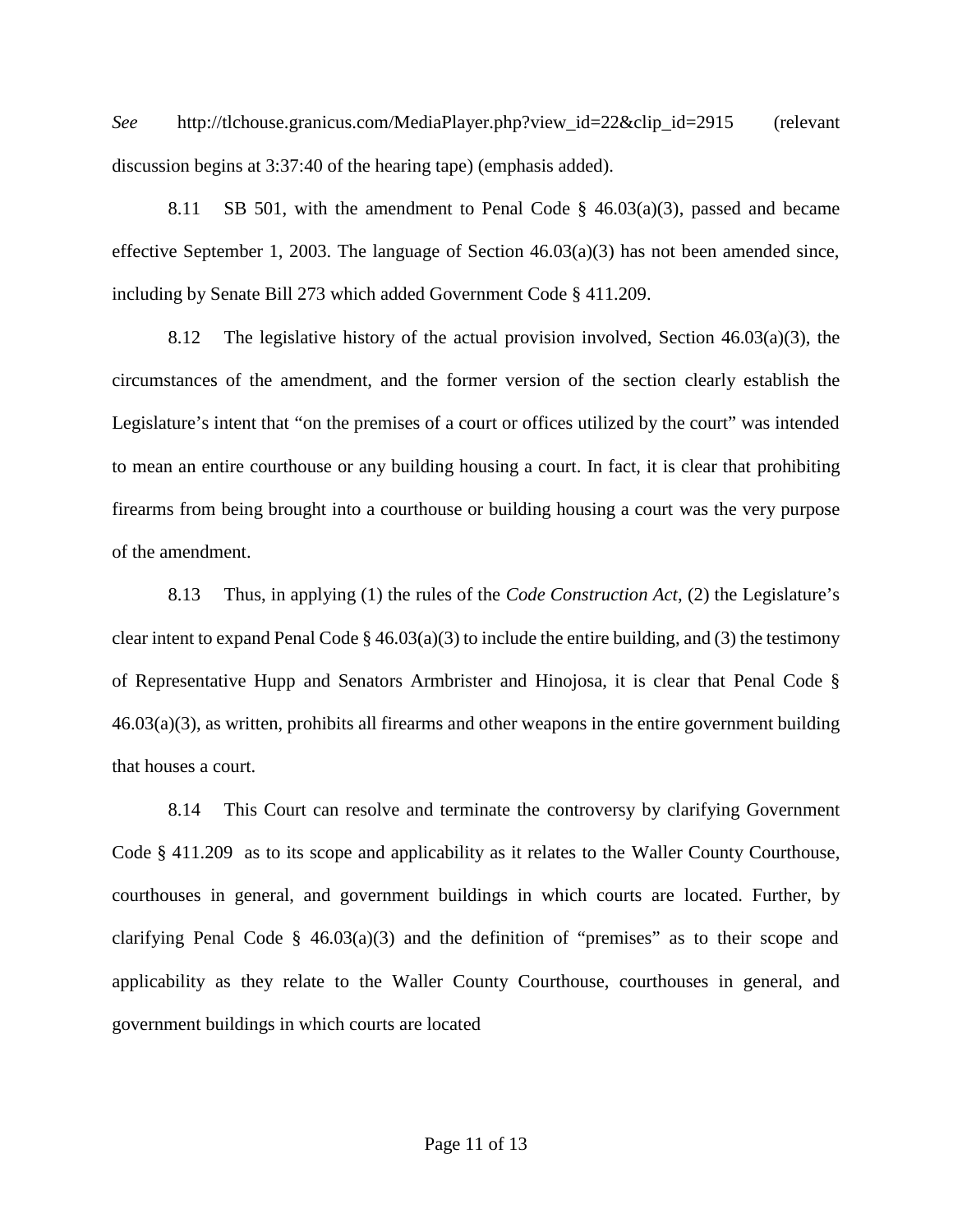*See* http://tlchouse.granicus.com/MediaPlayer.php?view\_id=22&clip\_id=2915 (relevant discussion begins at 3:37:40 of the hearing tape) (emphasis added).

8.11 SB 501, with the amendment to Penal Code  $\S$  46.03(a)(3), passed and became effective September 1, 2003. The language of Section  $46.03(a)(3)$  has not been amended since, including by Senate Bill 273 which added Government Code § 411.209.

8.12 The legislative history of the actual provision involved, Section  $46.03(a)(3)$ , the circumstances of the amendment, and the former version of the section clearly establish the Legislature's intent that "on the premises of a court or offices utilized by the court" was intended to mean an entire courthouse or any building housing a court. In fact, it is clear that prohibiting firearms from being brought into a courthouse or building housing a court was the very purpose of the amendment.

8.13 Thus, in applying (1) the rules of the *Code Construction Act*, (2) the Legislature's clear intent to expand Penal Code  $\S$  46.03(a)(3) to include the entire building, and (3) the testimony of Representative Hupp and Senators Armbrister and Hinojosa, it is clear that Penal Code §  $46.03(a)(3)$ , as written, prohibits all firearms and other weapons in the entire government building that houses a court.

8.14 This Court can resolve and terminate the controversy by clarifying Government Code § 411.209 as to its scope and applicability as it relates to the Waller County Courthouse, courthouses in general, and government buildings in which courts are located. Further, by clarifying Penal Code §  $46.03(a)(3)$  and the definition of "premises" as to their scope and applicability as they relate to the Waller County Courthouse, courthouses in general, and government buildings in which courts are located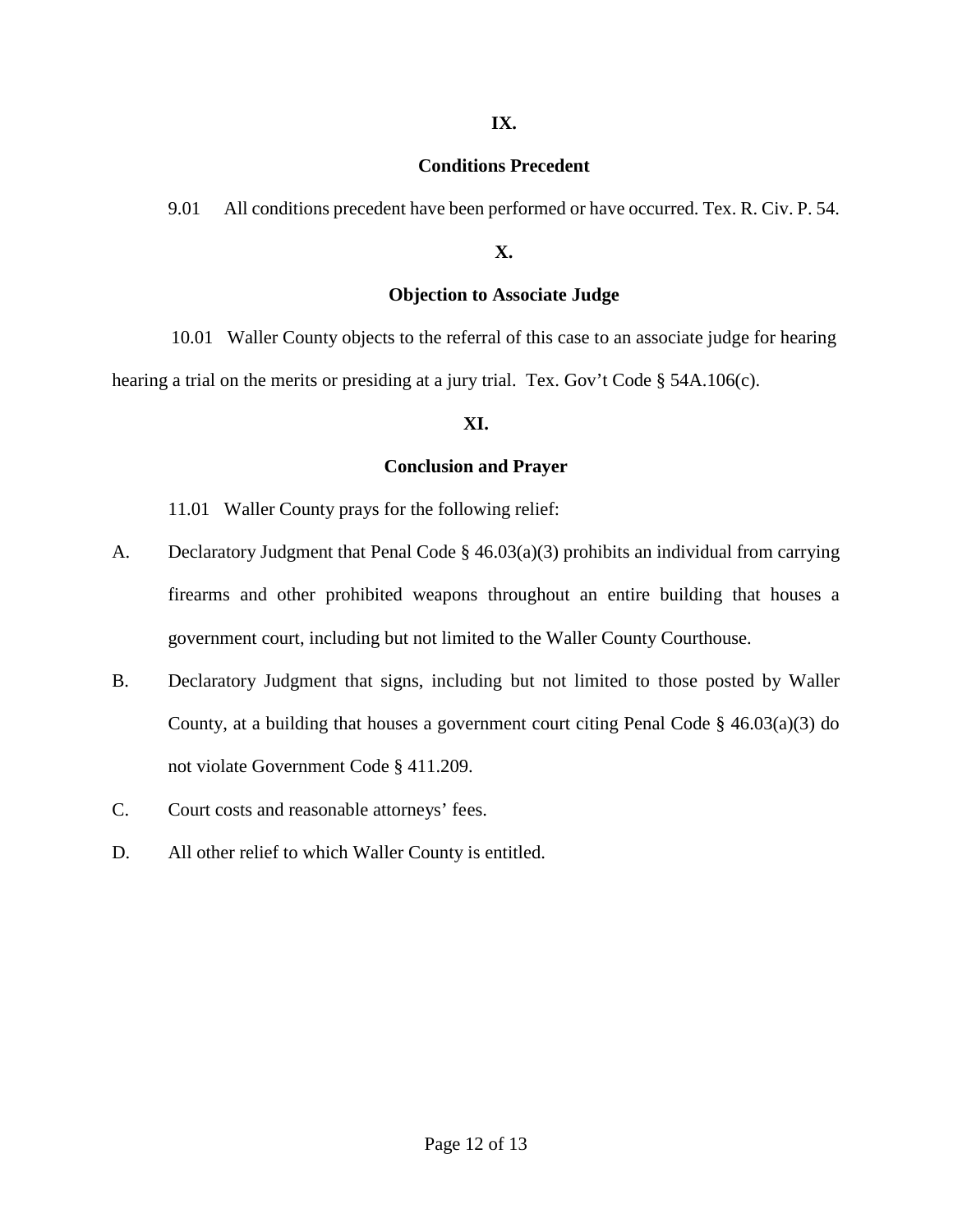#### **IX.**

#### **Conditions Precedent**

9.01 All conditions precedent have been performed or have occurred. Tex. R. Civ. P. 54.

## **X.**

## **Objection to Associate Judge**

10.01 Waller County objects to the referral of this case to an associate judge for hearing hearing a trial on the merits or presiding at a jury trial. Tex. Gov't Code § 54A.106(c).

## **XI.**

## **Conclusion and Prayer**

11.01 Waller County prays for the following relief:

- A. Declaratory Judgment that Penal Code § 46.03(a)(3) prohibits an individual from carrying firearms and other prohibited weapons throughout an entire building that houses a government court, including but not limited to the Waller County Courthouse.
- B. Declaratory Judgment that signs, including but not limited to those posted by Waller County, at a building that houses a government court citing Penal Code § 46.03(a)(3) do not violate Government Code § 411.209.
- C. Court costs and reasonable attorneys' fees.
- D. All other relief to which Waller County is entitled.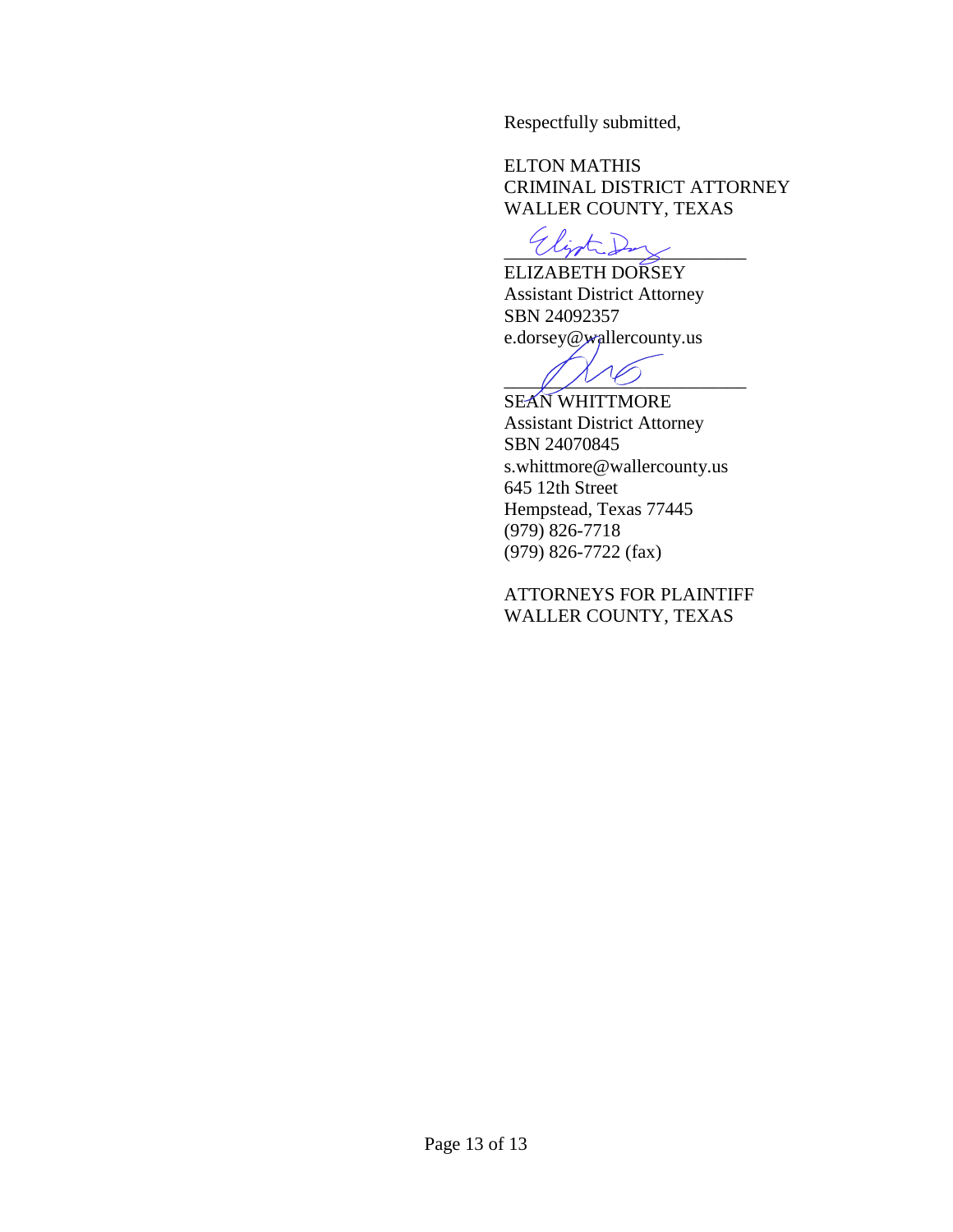Respectfully submitted,

ELTON MATHIS CRIMINAL DISTRICT ATTORNEY WALLER COUNTY, TEXAS

\_\_\_\_\_\_\_\_\_\_\_\_\_\_\_\_\_\_\_\_\_\_\_\_\_\_

ELIZABETH DORSEY Assistant District Attorney SBN 24092357 e.dorsey@wallercounty.us

 $\mathbb{Z}/\mathbb{Z}$ 

SEAN WHITTMORE Assistant District Attorney SBN 24070845 s.whittmore@wallercounty.us 645 12th Street Hempstead, Texas 77445 (979) 826-7718 (979) 826-7722 (fax)

ATTORNEYS FOR PLAINTIFF WALLER COUNTY, TEXAS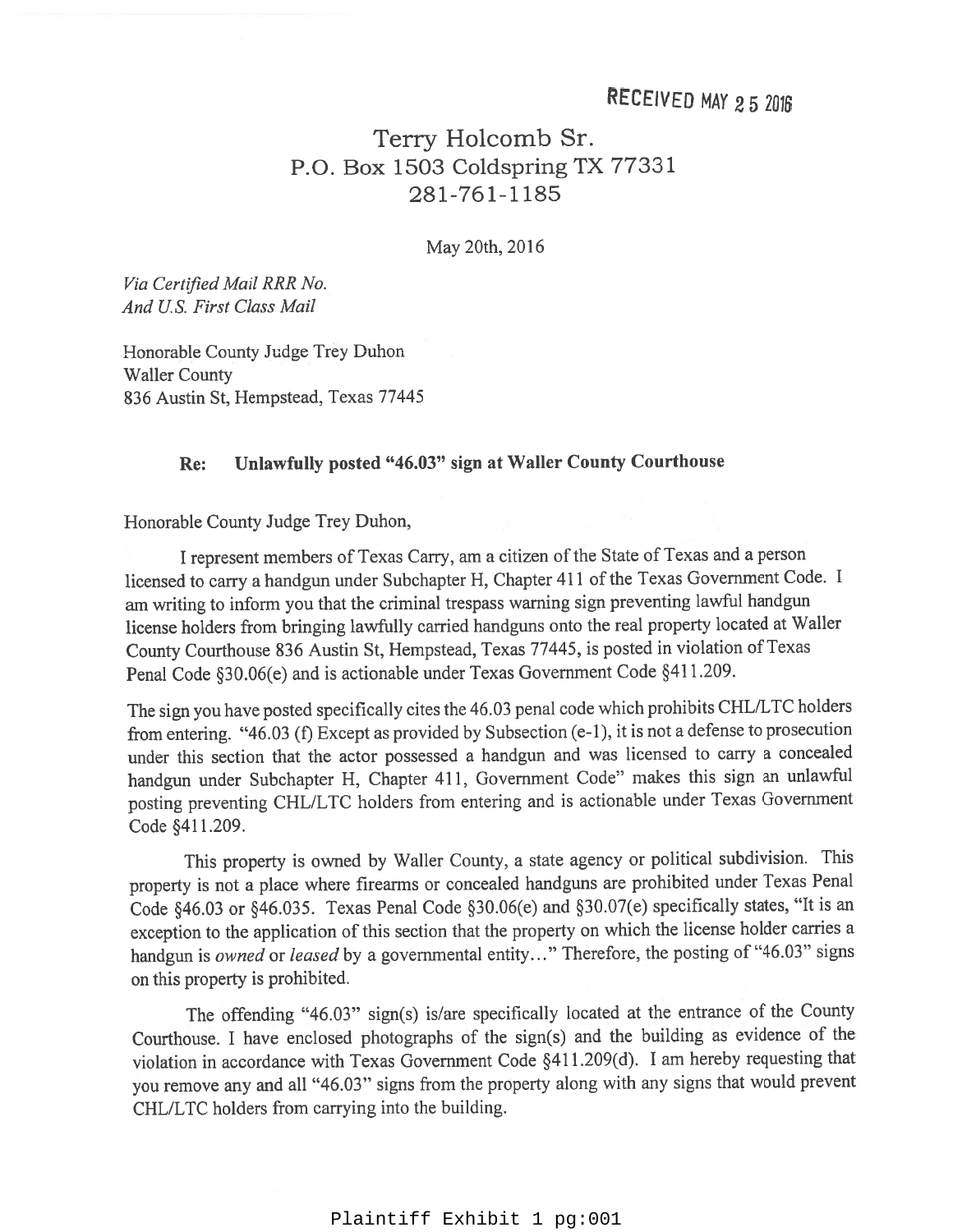## Terry Holcomb Sr. P.O. Box 1503 Coldspring TX 77331 281-761-1185

May 20th, 2016

Via Certified Mail RRR No. And U.S. First Class Mail

Honorable County Judge Trey Duhon **Waller County** 836 Austin St, Hempstead, Texas 77445

#### Unlawfully posted "46.03" sign at Waller County Courthouse Re:

Honorable County Judge Trey Duhon,

I represent members of Texas Carry, am a citizen of the State of Texas and a person licensed to carry a handgun under Subchapter H, Chapter 411 of the Texas Government Code. I am writing to inform you that the criminal trespass warning sign preventing lawful handgun license holders from bringing lawfully carried handguns onto the real property located at Waller County Courthouse 836 Austin St, Hempstead, Texas 77445, is posted in violation of Texas Penal Code §30.06(e) and is actionable under Texas Government Code §411.209.

The sign you have posted specifically cites the 46.03 penal code which prohibits CHL/LTC holders from entering. "46.03 (f) Except as provided by Subsection  $(e-1)$ , it is not a defense to prosecution under this section that the actor possessed a handgun and was licensed to carry a concealed handgun under Subchapter H, Chapter 411, Government Code" makes this sign an unlawful posting preventing CHL/LTC holders from entering and is actionable under Texas Government Code §411.209.

This property is owned by Waller County, a state agency or political subdivision. This property is not a place where firearms or concealed handguns are prohibited under Texas Penal Code §46.03 or §46.035. Texas Penal Code §30.06(e) and §30.07(e) specifically states, "It is an exception to the application of this section that the property on which the license holder carries a handgun is owned or leased by a governmental entity..." Therefore, the posting of "46.03" signs on this property is prohibited.

The offending "46.03" sign(s) is/are specifically located at the entrance of the County Courthouse. I have enclosed photographs of the sign(s) and the building as evidence of the violation in accordance with Texas Government Code §411.209(d). I am hereby requesting that you remove any and all "46.03" signs from the property along with any signs that would prevent CHL/LTC holders from carrying into the building.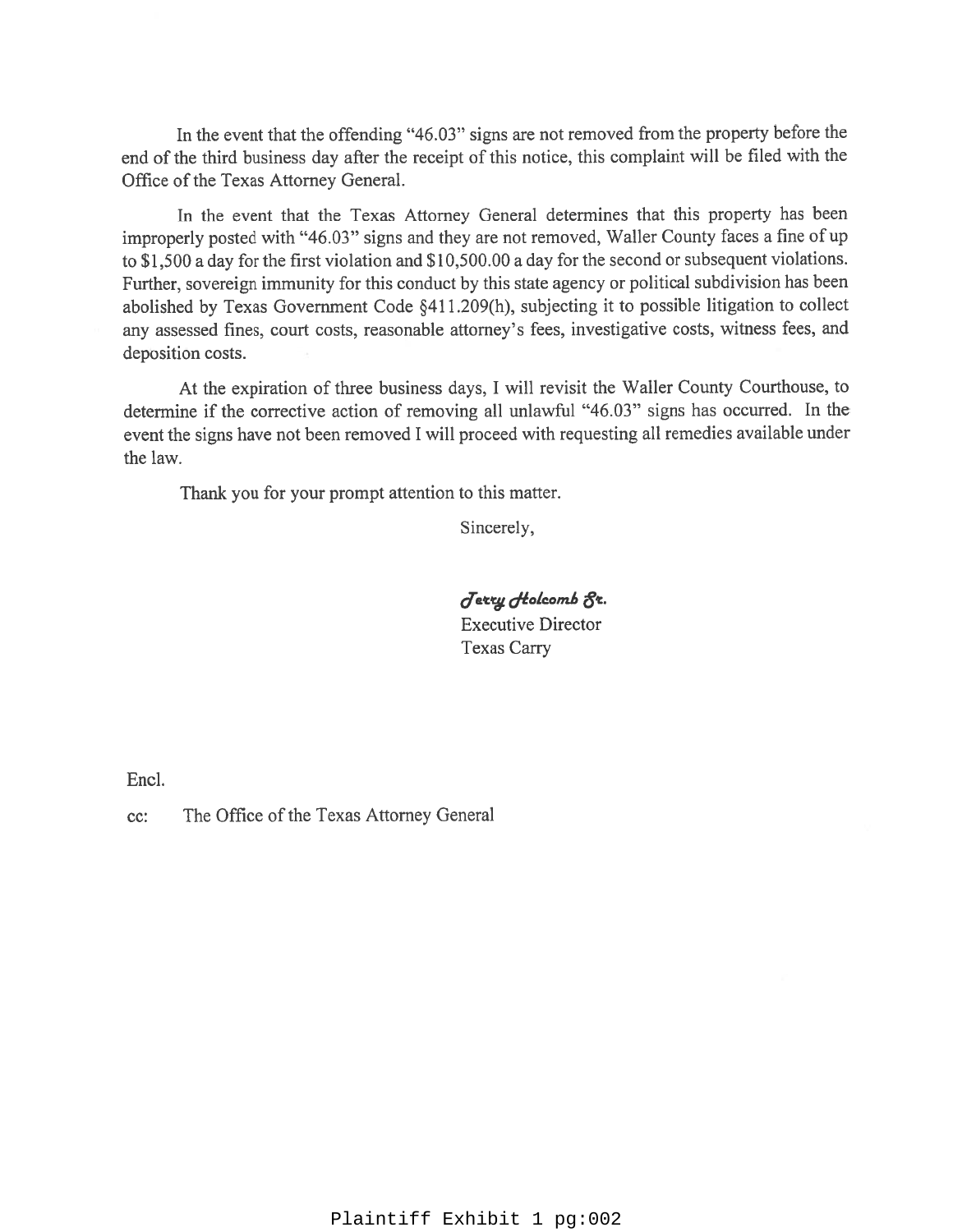In the event that the offending "46.03" signs are not removed from the property before the end of the third business day after the receipt of this notice, this complaint will be filed with the Office of the Texas Attorney General.

In the event that the Texas Attorney General determines that this property has been improperly posted with "46.03" signs and they are not removed, Waller County faces a fine of up to \$1,500 a day for the first violation and \$10,500.00 a day for the second or subsequent violations. Further, sovereign immunity for this conduct by this state agency or political subdivision has been abolished by Texas Government Code §411.209(h), subjecting it to possible litigation to collect any assessed fines, court costs, reasonable attorney's fees, investigative costs, witness fees, and deposition costs.

At the expiration of three business days, I will revisit the Waller County Courthouse, to determine if the corrective action of removing all unlawful "46.03" signs has occurred. In the event the signs have not been removed I will proceed with requesting all remedies available under the law.

Thank you for your prompt attention to this matter.

Sincerely,

Jerry Holcomb 8r. **Executive Director Texas Carry** 

Encl.

The Office of the Texas Attorney General cc: